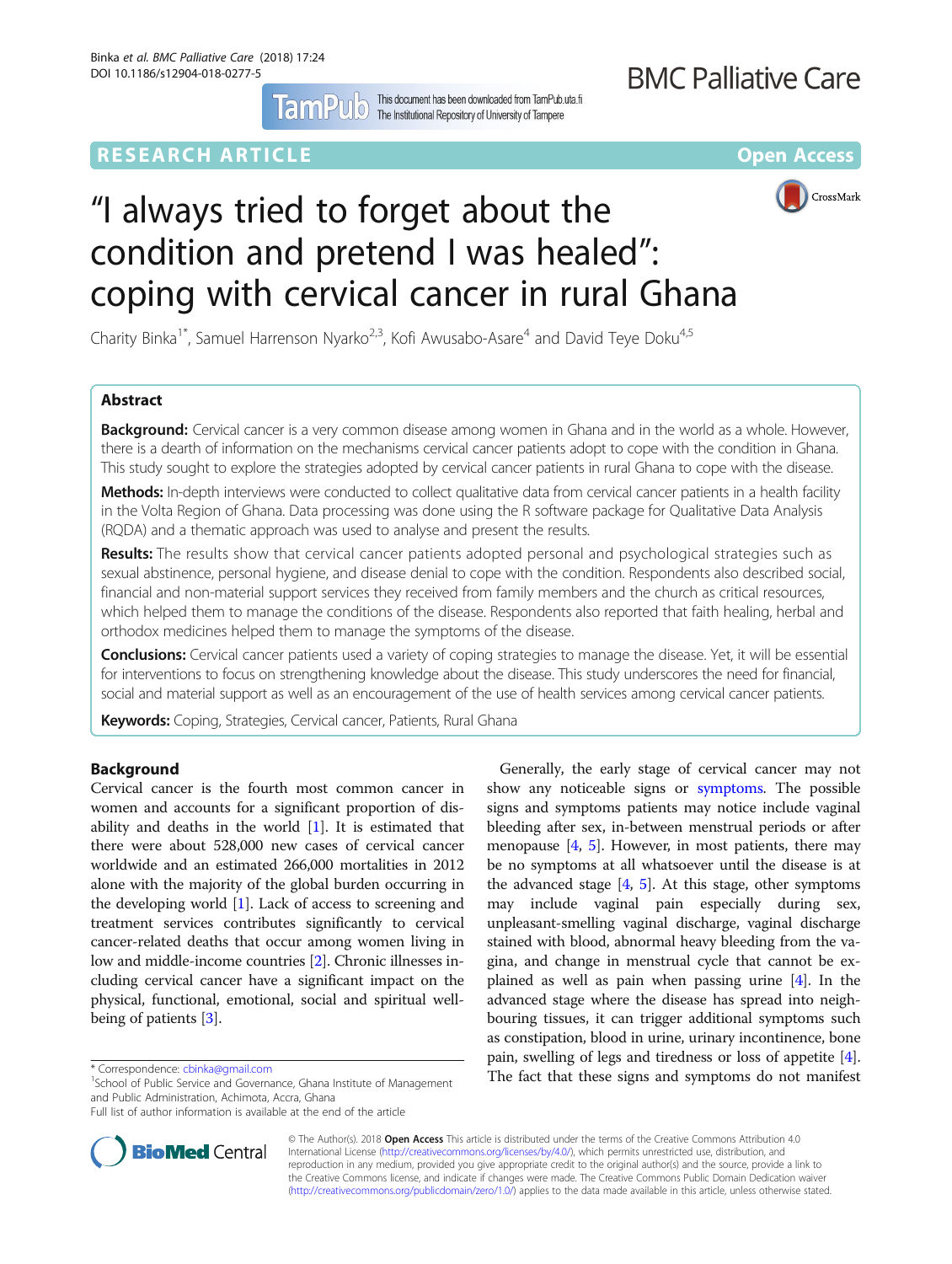TamPUD This document has been downloaded from TamPub.<br>The Institutional Repository of University of Tampere This document has been downloaded from TamPub.uta.fi

# **RESEARCH ARTICLE External Structure Community Community Community Community Community Community Community Community**



# "I always tried to forget about the condition and pretend I was healed": coping with cervical cancer in rural Ghana

Charity Binka<sup>1\*</sup>, Samuel Harrenson Nyarko<sup>2,3</sup>, Kofi Awusabo-Asare<sup>4</sup> and David Teye Doku<sup>4,5</sup>

# Abstract

Background: Cervical cancer is a very common disease among women in Ghana and in the world as a whole. However, there is a dearth of information on the mechanisms cervical cancer patients adopt to cope with the condition in Ghana. This study sought to explore the strategies adopted by cervical cancer patients in rural Ghana to cope with the disease.

Methods: In-depth interviews were conducted to collect qualitative data from cervical cancer patients in a health facility in the Volta Region of Ghana. Data processing was done using the R software package for Qualitative Data Analysis (RQDA) and a thematic approach was used to analyse and present the results.

Results: The results show that cervical cancer patients adopted personal and psychological strategies such as sexual abstinence, personal hygiene, and disease denial to cope with the condition. Respondents also described social, financial and non-material support services they received from family members and the church as critical resources, which helped them to manage the conditions of the disease. Respondents also reported that faith healing, herbal and orthodox medicines helped them to manage the symptoms of the disease.

Conclusions: Cervical cancer patients used a variety of coping strategies to manage the disease. Yet, it will be essential for interventions to focus on strengthening knowledge about the disease. This study underscores the need for financial, social and material support as well as an encouragement of the use of health services among cervical cancer patients.

Keywords: Coping, Strategies, Cervical cancer, Patients, Rural Ghana

# Background

Cervical cancer is the fourth most common cancer in women and accounts for a significant proportion of disability and deaths in the world [\[1](#page-7-0)]. It is estimated that there were about 528,000 new cases of cervical cancer worldwide and an estimated 266,000 mortalities in 2012 alone with the majority of the global burden occurring in the developing world [\[1](#page-7-0)]. Lack of access to screening and treatment services contributes significantly to cervical cancer-related deaths that occur among women living in low and middle-income countries [[2](#page-7-0)]. Chronic illnesses including cervical cancer have a significant impact on the physical, functional, emotional, social and spiritual wellbeing of patients [[3\]](#page-7-0).

<sup>1</sup>School of Public Service and Governance, Ghana Institute of Management and Public Administration, Achimota, Accra, Ghana

Full list of author information is available at the end of the article



Generally, the early stage of cervical cancer may not show any noticeable signs or [symptoms.](http://www.cancer.gov/Common/PopUps/popDefinition.aspx?id=45022&version=Patient&language=English) The possible signs and symptoms patients may notice include vaginal bleeding after sex, in-between menstrual periods or after menopause  $[4, 5]$  $[4, 5]$  $[4, 5]$  $[4, 5]$ . However, in most patients, there may be no symptoms at all whatsoever until the disease is at the advanced stage  $[4, 5]$  $[4, 5]$  $[4, 5]$ . At this stage, other symptoms may include vaginal pain especially during sex, unpleasant-smelling vaginal discharge, vaginal discharge stained with blood, abnormal heavy bleeding from the vagina, and change in menstrual cycle that cannot be explained as well as pain when passing urine  $[4]$  $[4]$  $[4]$ . In the advanced stage where the disease has spread into neighbouring tissues, it can trigger additional symptoms such as constipation, blood in urine, urinary incontinence, bone pain, swelling of legs and tiredness or loss of appetite [[4](#page-7-0)]. \* Correspondence: [cbinka@gmail.com](mailto:cbinka@gmail.com) [15]<br>
<sup>15</sup> Correspondence: cbinka@gmail.com 15 USD and symptoms do not manifest <sup>15</sup><br>
<sup>15</sup> Correspondence: chinka@gmail.com 15 USD and 15 USD and 15 USD and 15 USD and 15 USD and 15 USD a

> © The Author(s). 2018 Open Access This article is distributed under the terms of the Creative Commons Attribution 4.0 International License [\(http://creativecommons.org/licenses/by/4.0/](http://creativecommons.org/licenses/by/4.0/)), which permits unrestricted use, distribution, and reproduction in any medium, provided you give appropriate credit to the original author(s) and the source, provide a link to the Creative Commons license, and indicate if changes were made. The Creative Commons Public Domain Dedication waiver [\(http://creativecommons.org/publicdomain/zero/1.0/](http://creativecommons.org/publicdomain/zero/1.0/)) applies to the data made available in this article, unless otherwise stated.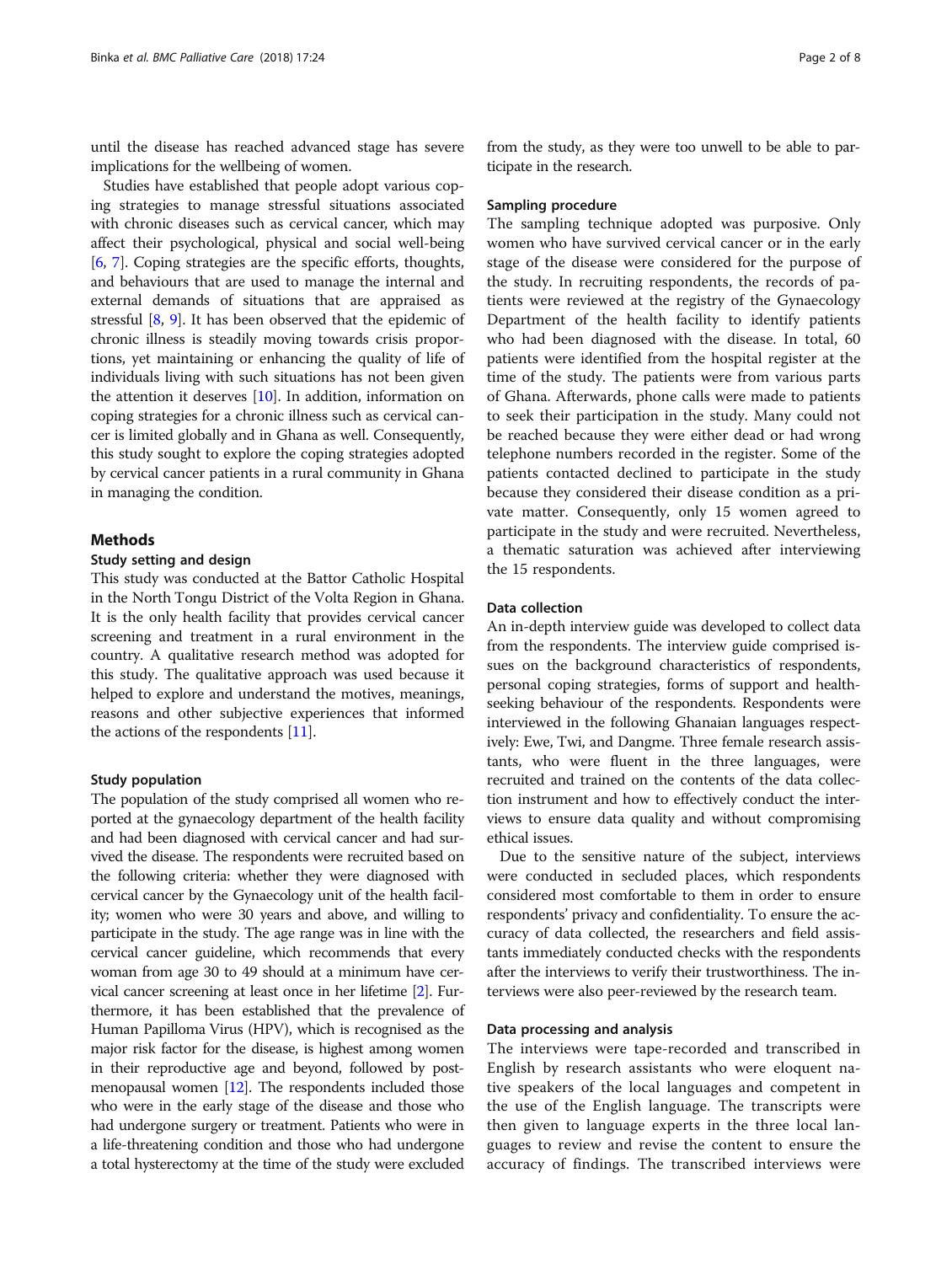until the disease has reached advanced stage has severe implications for the wellbeing of women.

Studies have established that people adopt various coping strategies to manage stressful situations associated with chronic diseases such as cervical cancer, which may affect their psychological, physical and social well-being [[6,](#page-7-0) [7](#page-7-0)]. Coping strategies are the specific efforts, thoughts, and behaviours that are used to manage the internal and external demands of situations that are appraised as stressful [[8,](#page-7-0) [9\]](#page-7-0). It has been observed that the epidemic of chronic illness is steadily moving towards crisis proportions, yet maintaining or enhancing the quality of life of individuals living with such situations has not been given the attention it deserves  $[10]$ . In addition, information on coping strategies for a chronic illness such as cervical cancer is limited globally and in Ghana as well. Consequently, this study sought to explore the coping strategies adopted by cervical cancer patients in a rural community in Ghana in managing the condition.

## Methods

## Study setting and design

This study was conducted at the Battor Catholic Hospital in the North Tongu District of the Volta Region in Ghana. It is the only health facility that provides cervical cancer screening and treatment in a rural environment in the country. A qualitative research method was adopted for this study. The qualitative approach was used because it helped to explore and understand the motives, meanings, reasons and other subjective experiences that informed the actions of the respondents [\[11\]](#page-7-0).

### Study population

The population of the study comprised all women who reported at the gynaecology department of the health facility and had been diagnosed with cervical cancer and had survived the disease. The respondents were recruited based on the following criteria: whether they were diagnosed with cervical cancer by the Gynaecology unit of the health facility; women who were 30 years and above, and willing to participate in the study. The age range was in line with the cervical cancer guideline, which recommends that every woman from age 30 to 49 should at a minimum have cervical cancer screening at least once in her lifetime [[2\]](#page-7-0). Furthermore, it has been established that the prevalence of Human Papilloma Virus (HPV), which is recognised as the major risk factor for the disease, is highest among women in their reproductive age and beyond, followed by postmenopausal women [\[12\]](#page-7-0). The respondents included those who were in the early stage of the disease and those who had undergone surgery or treatment. Patients who were in a life-threatening condition and those who had undergone a total hysterectomy at the time of the study were excluded from the study, as they were too unwell to be able to participate in the research.

#### Sampling procedure

The sampling technique adopted was purposive. Only women who have survived cervical cancer or in the early stage of the disease were considered for the purpose of the study. In recruiting respondents, the records of patients were reviewed at the registry of the Gynaecology Department of the health facility to identify patients who had been diagnosed with the disease. In total, 60 patients were identified from the hospital register at the time of the study. The patients were from various parts of Ghana. Afterwards, phone calls were made to patients to seek their participation in the study. Many could not be reached because they were either dead or had wrong telephone numbers recorded in the register. Some of the patients contacted declined to participate in the study because they considered their disease condition as a private matter. Consequently, only 15 women agreed to participate in the study and were recruited. Nevertheless, a thematic saturation was achieved after interviewing the 15 respondents.

#### Data collection

An in-depth interview guide was developed to collect data from the respondents. The interview guide comprised issues on the background characteristics of respondents, personal coping strategies, forms of support and healthseeking behaviour of the respondents. Respondents were interviewed in the following Ghanaian languages respectively: Ewe, Twi, and Dangme. Three female research assistants, who were fluent in the three languages, were recruited and trained on the contents of the data collection instrument and how to effectively conduct the interviews to ensure data quality and without compromising ethical issues.

Due to the sensitive nature of the subject, interviews were conducted in secluded places, which respondents considered most comfortable to them in order to ensure respondents' privacy and confidentiality. To ensure the accuracy of data collected, the researchers and field assistants immediately conducted checks with the respondents after the interviews to verify their trustworthiness. The interviews were also peer-reviewed by the research team.

## Data processing and analysis

The interviews were tape-recorded and transcribed in English by research assistants who were eloquent native speakers of the local languages and competent in the use of the English language. The transcripts were then given to language experts in the three local languages to review and revise the content to ensure the accuracy of findings. The transcribed interviews were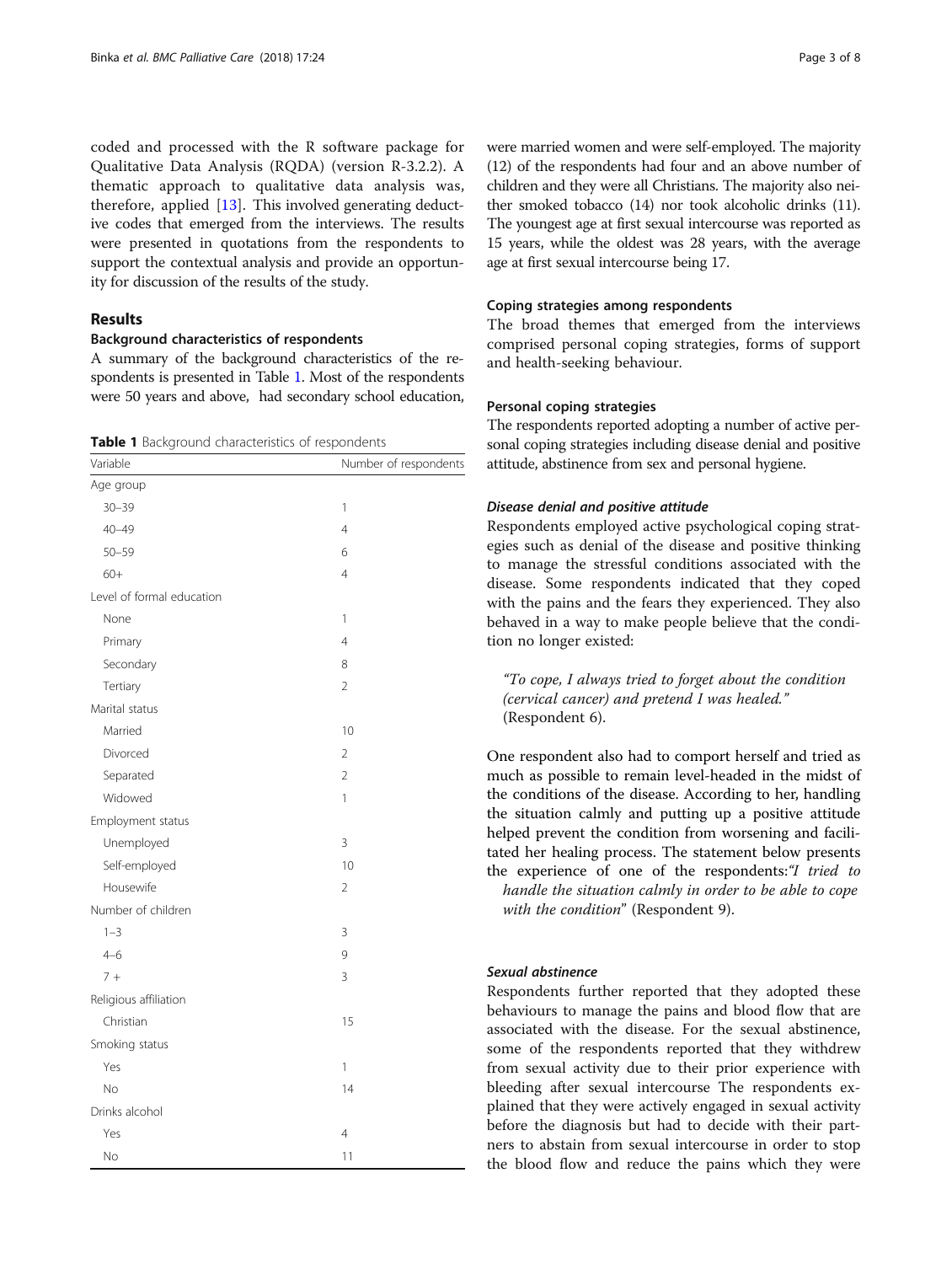coded and processed with the R software package for Qualitative Data Analysis (RQDA) (version R-3.2.2). A thematic approach to qualitative data analysis was, therefore, applied  $[13]$  $[13]$  $[13]$ . This involved generating deductive codes that emerged from the interviews. The results were presented in quotations from the respondents to support the contextual analysis and provide an opportunity for discussion of the results of the study.

# Results

# Background characteristics of respondents

A summary of the background characteristics of the respondents is presented in Table 1. Most of the respondents were 50 years and above, had secondary school education,

| Table 1 Background characteristics of respondents |  |
|---------------------------------------------------|--|
|---------------------------------------------------|--|

| Variable                  | Number of respondents |
|---------------------------|-----------------------|
| Age group                 |                       |
| $30 - 39$                 | $\mathbf{1}$          |
| $40 - 49$                 | $\overline{4}$        |
| $50 - 59$                 | 6                     |
| $60+$                     | $\overline{4}$        |
| Level of formal education |                       |
| None                      | $\mathbf{1}$          |
| Primary                   | $\overline{4}$        |
| Secondary                 | 8                     |
| Tertiary                  | $\overline{2}$        |
| Marital status            |                       |
| Married                   | 10                    |
| Divorced                  | $\overline{2}$        |
| Separated                 | $\overline{2}$        |
| Widowed                   | $\mathbf{1}$          |
| Employment status         |                       |
| Unemployed                | 3                     |
| Self-employed             | 10                    |
| Housewife                 | $\overline{2}$        |
| Number of children        |                       |
| $1 - 3$                   | 3                     |
| $4 - 6$                   | 9                     |
| $7+$                      | 3                     |
| Religious affiliation     |                       |
| Christian                 | 15                    |
| Smoking status            |                       |
| Yes                       | $\mathbf{1}$          |
| No                        | 14                    |
| Drinks alcohol            |                       |
| Yes                       | $\overline{4}$        |
| No                        | 11                    |

were married women and were self-employed. The majority (12) of the respondents had four and an above number of children and they were all Christians. The majority also neither smoked tobacco (14) nor took alcoholic drinks (11). The youngest age at first sexual intercourse was reported as 15 years, while the oldest was 28 years, with the average age at first sexual intercourse being 17.

#### Coping strategies among respondents

The broad themes that emerged from the interviews comprised personal coping strategies, forms of support and health-seeking behaviour.

## Personal coping strategies

The respondents reported adopting a number of active personal coping strategies including disease denial and positive attitude, abstinence from sex and personal hygiene.

# Disease denial and positive attitude

Respondents employed active psychological coping strategies such as denial of the disease and positive thinking to manage the stressful conditions associated with the disease. Some respondents indicated that they coped with the pains and the fears they experienced. They also behaved in a way to make people believe that the condition no longer existed:

"To cope, I always tried to forget about the condition (cervical cancer) and pretend I was healed." (Respondent 6).

One respondent also had to comport herself and tried as much as possible to remain level-headed in the midst of the conditions of the disease. According to her, handling the situation calmly and putting up a positive attitude helped prevent the condition from worsening and facilitated her healing process. The statement below presents the experience of one of the respondents:"I tried to handle the situation calmly in order to be able to cope with the condition" (Respondent 9).

#### Sexual abstinence

Respondents further reported that they adopted these behaviours to manage the pains and blood flow that are associated with the disease. For the sexual abstinence, some of the respondents reported that they withdrew from sexual activity due to their prior experience with bleeding after sexual intercourse The respondents explained that they were actively engaged in sexual activity before the diagnosis but had to decide with their partners to abstain from sexual intercourse in order to stop the blood flow and reduce the pains which they were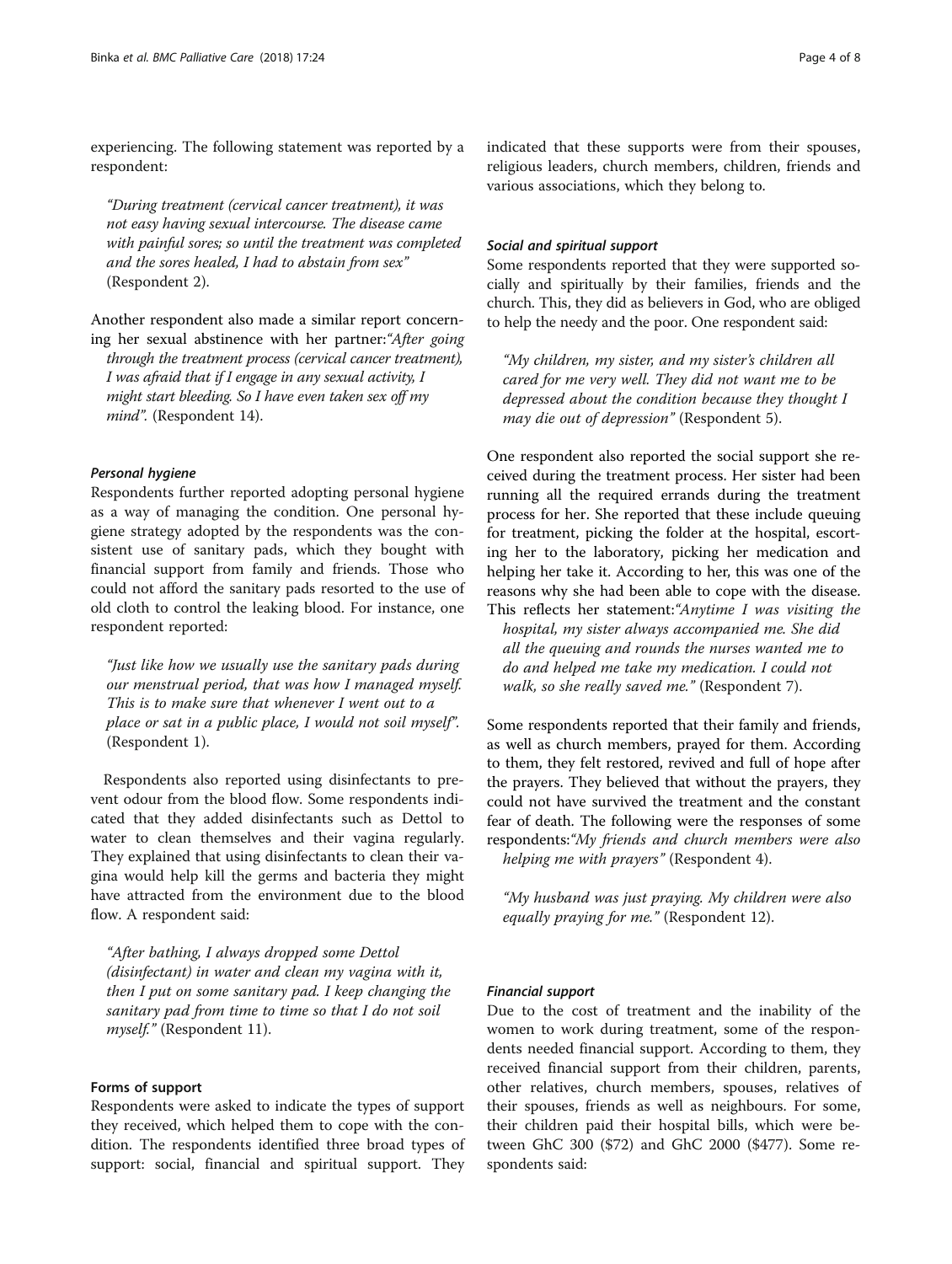experiencing. The following statement was reported by a respondent:

"During treatment (cervical cancer treatment), it was not easy having sexual intercourse. The disease came with painful sores; so until the treatment was completed and the sores healed, I had to abstain from sex" (Respondent 2).

Another respondent also made a similar report concerning her sexual abstinence with her partner:"After going through the treatment process (cervical cancer treatment), I was afraid that if I engage in any sexual activity, I

might start bleeding. So I have even taken sex off my

#### Personal hygiene

mind". (Respondent 14).

Respondents further reported adopting personal hygiene as a way of managing the condition. One personal hygiene strategy adopted by the respondents was the consistent use of sanitary pads, which they bought with financial support from family and friends. Those who could not afford the sanitary pads resorted to the use of old cloth to control the leaking blood. For instance, one respondent reported:

"Just like how we usually use the sanitary pads during our menstrual period, that was how I managed myself. This is to make sure that whenever I went out to a place or sat in a public place, I would not soil myself". (Respondent 1).

Respondents also reported using disinfectants to prevent odour from the blood flow. Some respondents indicated that they added disinfectants such as Dettol to water to clean themselves and their vagina regularly. They explained that using disinfectants to clean their vagina would help kill the germs and bacteria they might have attracted from the environment due to the blood flow. A respondent said:

"After bathing, I always dropped some Dettol (disinfectant) in water and clean my vagina with it, then I put on some sanitary pad. I keep changing the sanitary pad from time to time so that I do not soil myself." (Respondent 11).

# Forms of support

Respondents were asked to indicate the types of support they received, which helped them to cope with the condition. The respondents identified three broad types of support: social, financial and spiritual support. They

indicated that these supports were from their spouses, religious leaders, church members, children, friends and various associations, which they belong to.

### Social and spiritual support

Some respondents reported that they were supported socially and spiritually by their families, friends and the church. This, they did as believers in God, who are obliged to help the needy and the poor. One respondent said:

"My children, my sister, and my sister's children all cared for me very well. They did not want me to be depressed about the condition because they thought I may die out of depression" (Respondent 5).

One respondent also reported the social support she received during the treatment process. Her sister had been running all the required errands during the treatment process for her. She reported that these include queuing for treatment, picking the folder at the hospital, escorting her to the laboratory, picking her medication and helping her take it. According to her, this was one of the reasons why she had been able to cope with the disease. This reflects her statement:"Anytime I was visiting the

hospital, my sister always accompanied me. She did all the queuing and rounds the nurses wanted me to do and helped me take my medication. I could not walk, so she really saved me." (Respondent 7).

Some respondents reported that their family and friends, as well as church members, prayed for them. According to them, they felt restored, revived and full of hope after the prayers. They believed that without the prayers, they could not have survived the treatment and the constant fear of death. The following were the responses of some respondents:"My friends and church members were also helping me with prayers" (Respondent 4).

"My husband was just praying. My children were also equally praying for me." (Respondent 12).

#### Financial support

Due to the cost of treatment and the inability of the women to work during treatment, some of the respondents needed financial support. According to them, they received financial support from their children, parents, other relatives, church members, spouses, relatives of their spouses, friends as well as neighbours. For some, their children paid their hospital bills, which were between GhC 300 (\$72) and GhC 2000 (\$477). Some respondents said: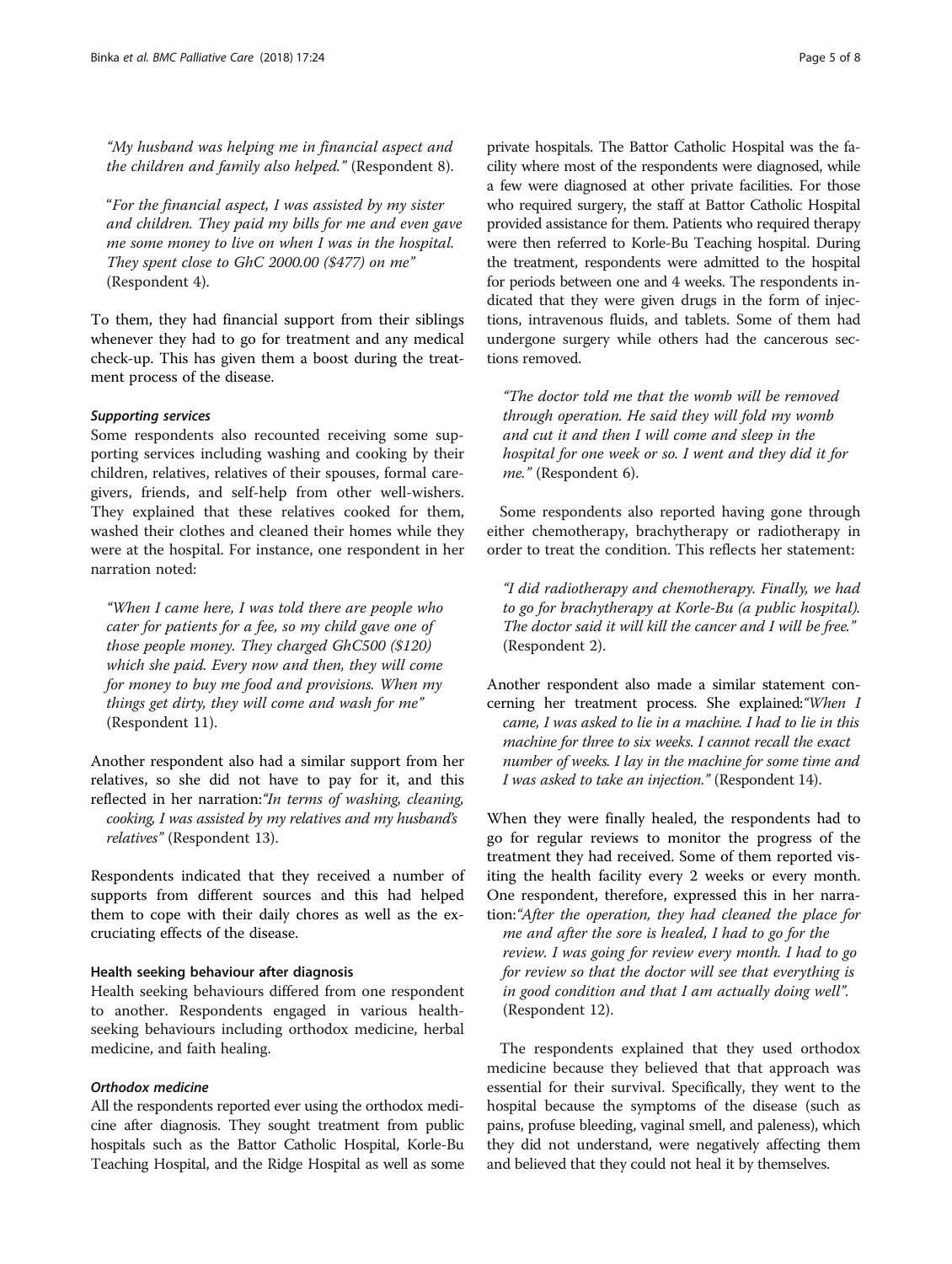"My husband was helping me in financial aspect and the children and family also helped." (Respondent 8).

"For the financial aspect, I was assisted by my sister and children. They paid my bills for me and even gave me some money to live on when I was in the hospital. They spent close to GhC 2000.00 (\$477) on me" (Respondent 4).

To them, they had financial support from their siblings whenever they had to go for treatment and any medical check-up. This has given them a boost during the treatment process of the disease.

# Supporting services

Some respondents also recounted receiving some supporting services including washing and cooking by their children, relatives, relatives of their spouses, formal caregivers, friends, and self-help from other well-wishers. They explained that these relatives cooked for them, washed their clothes and cleaned their homes while they were at the hospital. For instance, one respondent in her narration noted:

"When I came here, I was told there are people who cater for patients for a fee, so my child gave one of those people money. They charged GhC500 (\$120) which she paid. Every now and then, they will come for money to buy me food and provisions. When my things get dirty, they will come and wash for me" (Respondent 11).

Another respondent also had a similar support from her relatives, so she did not have to pay for it, and this reflected in her narration:"In terms of washing, cleaning, cooking, I was assisted by my relatives and my husband's relatives" (Respondent 13).

Respondents indicated that they received a number of supports from different sources and this had helped them to cope with their daily chores as well as the excruciating effects of the disease.

#### Health seeking behaviour after diagnosis

Health seeking behaviours differed from one respondent to another. Respondents engaged in various healthseeking behaviours including orthodox medicine, herbal medicine, and faith healing.

## Orthodox medicine

All the respondents reported ever using the orthodox medicine after diagnosis. They sought treatment from public hospitals such as the Battor Catholic Hospital, Korle-Bu Teaching Hospital, and the Ridge Hospital as well as some private hospitals. The Battor Catholic Hospital was the facility where most of the respondents were diagnosed, while a few were diagnosed at other private facilities. For those who required surgery, the staff at Battor Catholic Hospital provided assistance for them. Patients who required therapy were then referred to Korle-Bu Teaching hospital. During the treatment, respondents were admitted to the hospital for periods between one and 4 weeks. The respondents indicated that they were given drugs in the form of injections, intravenous fluids, and tablets. Some of them had undergone surgery while others had the cancerous sections removed.

"The doctor told me that the womb will be removed through operation. He said they will fold my womb and cut it and then I will come and sleep in the hospital for one week or so. I went and they did it for me." (Respondent 6).

Some respondents also reported having gone through either chemotherapy, brachytherapy or radiotherapy in order to treat the condition. This reflects her statement:

"I did radiotherapy and chemotherapy. Finally, we had to go for brachytherapy at Korle-Bu (a public hospital). The doctor said it will kill the cancer and I will be free." (Respondent 2).

Another respondent also made a similar statement concerning her treatment process. She explained:"When I came, I was asked to lie in a machine. I had to lie in this machine for three to six weeks. I cannot recall the exact number of weeks. I lay in the machine for some time and I was asked to take an injection." (Respondent 14).

When they were finally healed, the respondents had to go for regular reviews to monitor the progress of the treatment they had received. Some of them reported visiting the health facility every 2 weeks or every month. One respondent, therefore, expressed this in her narration:"After the operation, they had cleaned the place for me and after the sore is healed, I had to go for the review. I was going for review every month. I had to go for review so that the doctor will see that everything is in good condition and that I am actually doing well". (Respondent 12).

The respondents explained that they used orthodox medicine because they believed that that approach was essential for their survival. Specifically, they went to the hospital because the symptoms of the disease (such as pains, profuse bleeding, vaginal smell, and paleness), which they did not understand, were negatively affecting them and believed that they could not heal it by themselves.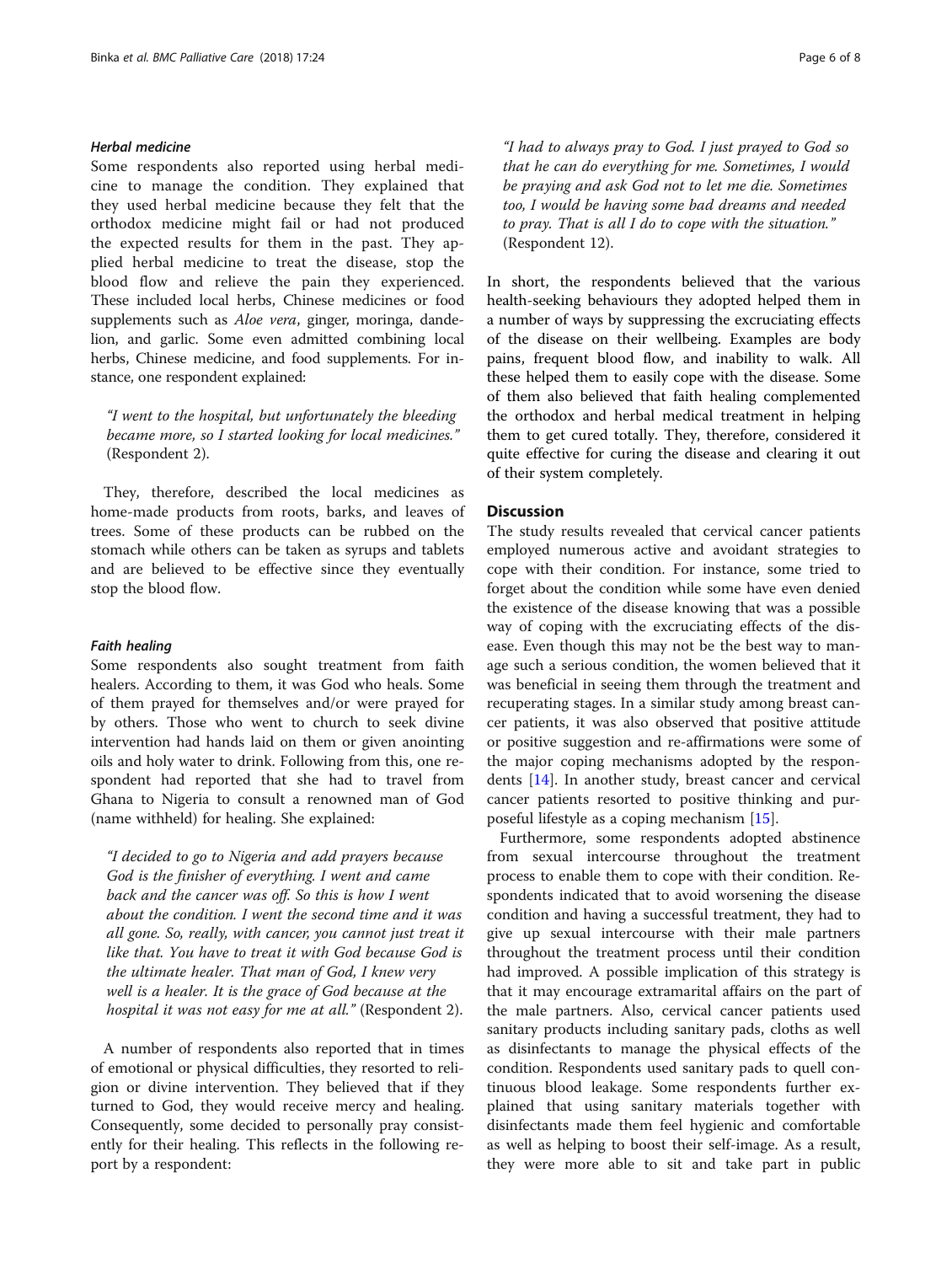# Herbal medicine

Some respondents also reported using herbal medicine to manage the condition. They explained that they used herbal medicine because they felt that the orthodox medicine might fail or had not produced the expected results for them in the past. They applied herbal medicine to treat the disease, stop the blood flow and relieve the pain they experienced. These included local herbs, Chinese medicines or food supplements such as Aloe vera, ginger, moringa, dandelion, and garlic. Some even admitted combining local herbs, Chinese medicine, and food supplements. For instance, one respondent explained:

"I went to the hospital, but unfortunately the bleeding became more, so I started looking for local medicines." (Respondent 2).

They, therefore, described the local medicines as home-made products from roots, barks, and leaves of trees. Some of these products can be rubbed on the stomach while others can be taken as syrups and tablets and are believed to be effective since they eventually stop the blood flow.

## Faith healing

Some respondents also sought treatment from faith healers. According to them, it was God who heals. Some of them prayed for themselves and/or were prayed for by others. Those who went to church to seek divine intervention had hands laid on them or given anointing oils and holy water to drink. Following from this, one respondent had reported that she had to travel from Ghana to Nigeria to consult a renowned man of God (name withheld) for healing. She explained:

"I decided to go to Nigeria and add prayers because God is the finisher of everything. I went and came back and the cancer was off. So this is how I went about the condition. I went the second time and it was all gone. So, really, with cancer, you cannot just treat it like that. You have to treat it with God because God is the ultimate healer. That man of God, I knew very well is a healer. It is the grace of God because at the hospital it was not easy for me at all." (Respondent 2).

A number of respondents also reported that in times of emotional or physical difficulties, they resorted to religion or divine intervention. They believed that if they turned to God, they would receive mercy and healing. Consequently, some decided to personally pray consistently for their healing. This reflects in the following report by a respondent:

"I had to always pray to God. I just prayed to God so that he can do everything for me. Sometimes, I would be praying and ask God not to let me die. Sometimes too, I would be having some bad dreams and needed to pray. That is all I do to cope with the situation." (Respondent 12).

In short, the respondents believed that the various health-seeking behaviours they adopted helped them in a number of ways by suppressing the excruciating effects of the disease on their wellbeing. Examples are body pains, frequent blood flow, and inability to walk. All these helped them to easily cope with the disease. Some of them also believed that faith healing complemented the orthodox and herbal medical treatment in helping them to get cured totally. They, therefore, considered it quite effective for curing the disease and clearing it out of their system completely.

## Discussion

The study results revealed that cervical cancer patients employed numerous active and avoidant strategies to cope with their condition. For instance, some tried to forget about the condition while some have even denied the existence of the disease knowing that was a possible way of coping with the excruciating effects of the disease. Even though this may not be the best way to manage such a serious condition, the women believed that it was beneficial in seeing them through the treatment and recuperating stages. In a similar study among breast cancer patients, it was also observed that positive attitude or positive suggestion and re-affirmations were some of the major coping mechanisms adopted by the respondents [[14\]](#page-7-0). In another study, breast cancer and cervical cancer patients resorted to positive thinking and purposeful lifestyle as a coping mechanism [\[15](#page-7-0)].

Furthermore, some respondents adopted abstinence from sexual intercourse throughout the treatment process to enable them to cope with their condition. Respondents indicated that to avoid worsening the disease condition and having a successful treatment, they had to give up sexual intercourse with their male partners throughout the treatment process until their condition had improved. A possible implication of this strategy is that it may encourage extramarital affairs on the part of the male partners. Also, cervical cancer patients used sanitary products including sanitary pads, cloths as well as disinfectants to manage the physical effects of the condition. Respondents used sanitary pads to quell continuous blood leakage. Some respondents further explained that using sanitary materials together with disinfectants made them feel hygienic and comfortable as well as helping to boost their self-image. As a result, they were more able to sit and take part in public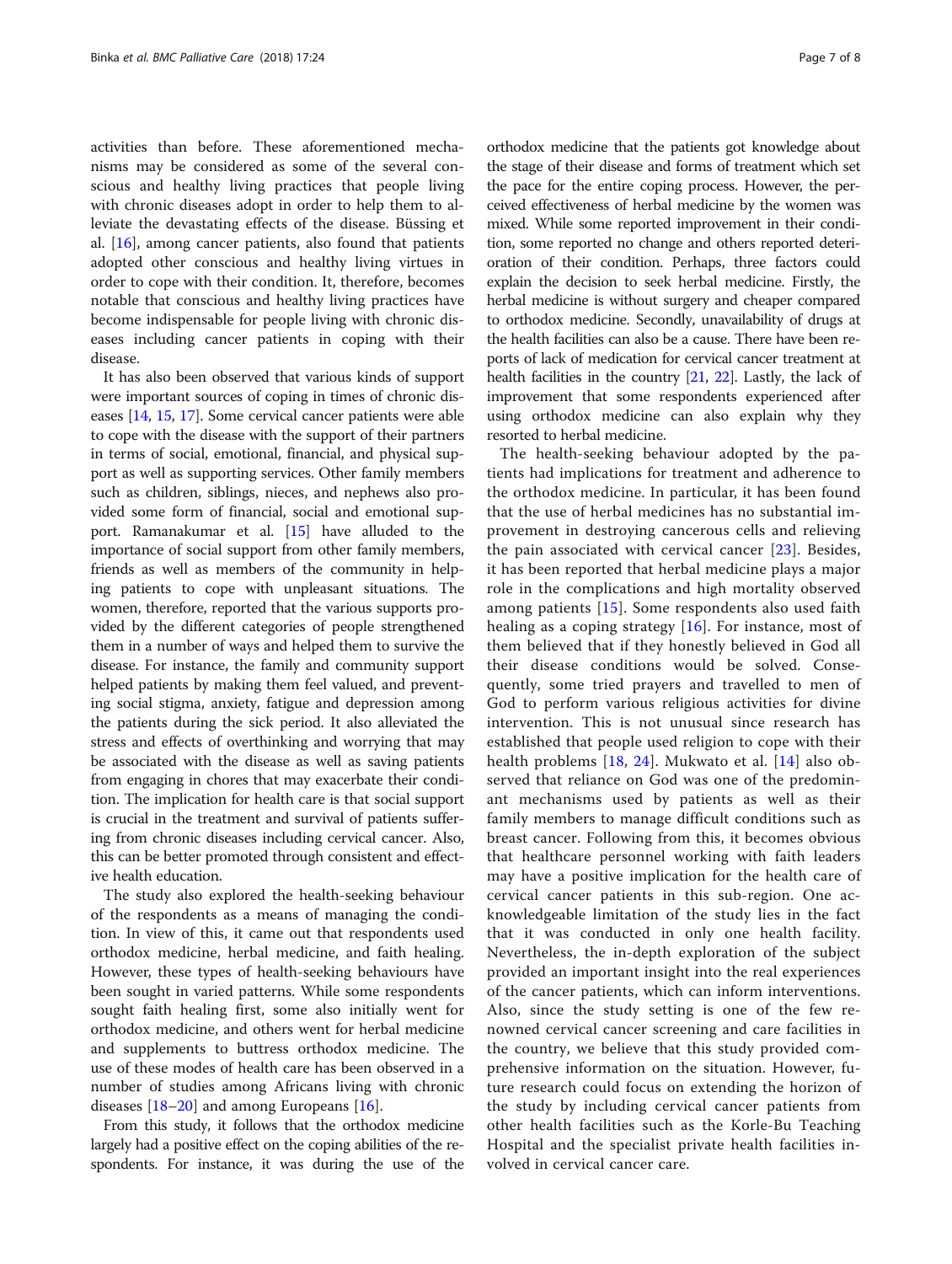activities than before. These aforementioned mechanisms may be considered as some of the several conscious and healthy living practices that people living with chronic diseases adopt in order to help them to alleviate the devastating effects of the disease. Büssing et al. [[16](#page-7-0)], among cancer patients, also found that patients adopted other conscious and healthy living virtues in order to cope with their condition. It, therefore, becomes notable that conscious and healthy living practices have become indispensable for people living with chronic diseases including cancer patients in coping with their disease.

It has also been observed that various kinds of support were important sources of coping in times of chronic diseases [\[14,](#page-7-0) [15](#page-7-0), [17](#page-7-0)]. Some cervical cancer patients were able to cope with the disease with the support of their partners in terms of social, emotional, financial, and physical support as well as supporting services. Other family members such as children, siblings, nieces, and nephews also provided some form of financial, social and emotional support. Ramanakumar et al. [[15](#page-7-0)] have alluded to the importance of social support from other family members, friends as well as members of the community in helping patients to cope with unpleasant situations. The women, therefore, reported that the various supports provided by the different categories of people strengthened them in a number of ways and helped them to survive the disease. For instance, the family and community support helped patients by making them feel valued, and preventing social stigma, anxiety, fatigue and depression among the patients during the sick period. It also alleviated the stress and effects of overthinking and worrying that may be associated with the disease as well as saving patients from engaging in chores that may exacerbate their condition. The implication for health care is that social support is crucial in the treatment and survival of patients suffering from chronic diseases including cervical cancer. Also, this can be better promoted through consistent and effective health education.

The study also explored the health-seeking behaviour of the respondents as a means of managing the condition. In view of this, it came out that respondents used orthodox medicine, herbal medicine, and faith healing. However, these types of health-seeking behaviours have been sought in varied patterns. While some respondents sought faith healing first, some also initially went for orthodox medicine, and others went for herbal medicine and supplements to buttress orthodox medicine. The use of these modes of health care has been observed in a number of studies among Africans living with chronic diseases  $[18–20]$  $[18–20]$  $[18–20]$  and among Europeans  $[16]$  $[16]$  $[16]$ .

From this study, it follows that the orthodox medicine largely had a positive effect on the coping abilities of the respondents. For instance, it was during the use of the orthodox medicine that the patients got knowledge about the stage of their disease and forms of treatment which set the pace for the entire coping process. However, the perceived effectiveness of herbal medicine by the women was mixed. While some reported improvement in their condition, some reported no change and others reported deterioration of their condition. Perhaps, three factors could explain the decision to seek herbal medicine. Firstly, the herbal medicine is without surgery and cheaper compared to orthodox medicine. Secondly, unavailability of drugs at the health facilities can also be a cause. There have been reports of lack of medication for cervical cancer treatment at health facilities in the country [\[21](#page-7-0), [22\]](#page-7-0). Lastly, the lack of improvement that some respondents experienced after using orthodox medicine can also explain why they resorted to herbal medicine.

The health-seeking behaviour adopted by the patients had implications for treatment and adherence to the orthodox medicine. In particular, it has been found that the use of herbal medicines has no substantial improvement in destroying cancerous cells and relieving the pain associated with cervical cancer [\[23](#page-7-0)]. Besides, it has been reported that herbal medicine plays a major role in the complications and high mortality observed among patients [[15\]](#page-7-0). Some respondents also used faith healing as a coping strategy [\[16](#page-7-0)]. For instance, most of them believed that if they honestly believed in God all their disease conditions would be solved. Consequently, some tried prayers and travelled to men of God to perform various religious activities for divine intervention. This is not unusual since research has established that people used religion to cope with their health problems [[18,](#page-7-0) [24\]](#page-7-0). Mukwato et al. [\[14](#page-7-0)] also observed that reliance on God was one of the predominant mechanisms used by patients as well as their family members to manage difficult conditions such as breast cancer. Following from this, it becomes obvious that healthcare personnel working with faith leaders may have a positive implication for the health care of cervical cancer patients in this sub-region. One acknowledgeable limitation of the study lies in the fact that it was conducted in only one health facility. Nevertheless, the in-depth exploration of the subject provided an important insight into the real experiences of the cancer patients, which can inform interventions. Also, since the study setting is one of the few renowned cervical cancer screening and care facilities in the country, we believe that this study provided comprehensive information on the situation. However, future research could focus on extending the horizon of the study by including cervical cancer patients from other health facilities such as the Korle-Bu Teaching Hospital and the specialist private health facilities involved in cervical cancer care.